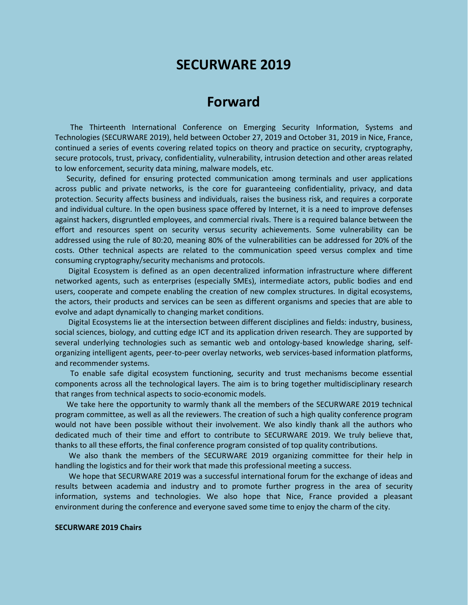## **SECURWARE 2019**

# **Forward**

The Thirteenth International Conference on Emerging Security Information, Systems and Technologies (SECURWARE 2019), held between October 27, 2019 and October 31, 2019 in Nice, France, continued a series of events covering related topics on theory and practice on security, cryptography, secure protocols, trust, privacy, confidentiality, vulnerability, intrusion detection and other areas related to low enforcement, security data mining, malware models, etc.

Security, defined for ensuring protected communication among terminals and user applications across public and private networks, is the core for guaranteeing confidentiality, privacy, and data protection. Security affects business and individuals, raises the business risk, and requires a corporate and individual culture. In the open business space offered by Internet, it is a need to improve defenses against hackers, disgruntled employees, and commercial rivals. There is a required balance between the effort and resources spent on security versus security achievements. Some vulnerability can be addressed using the rule of 80:20, meaning 80% of the vulnerabilities can be addressed for 20% of the costs. Other technical aspects are related to the communication speed versus complex and time consuming cryptography/security mechanisms and protocols.

Digital Ecosystem is defined as an open decentralized information infrastructure where different networked agents, such as enterprises (especially SMEs), intermediate actors, public bodies and end users, cooperate and compete enabling the creation of new complex structures. In digital ecosystems, the actors, their products and services can be seen as different organisms and species that are able to evolve and adapt dynamically to changing market conditions.

Digital Ecosystems lie at the intersection between different disciplines and fields: industry, business, social sciences, biology, and cutting edge ICT and its application driven research. They are supported by several underlying technologies such as semantic web and ontology-based knowledge sharing, selforganizing intelligent agents, peer-to-peer overlay networks, web services-based information platforms, and recommender systems.

To enable safe digital ecosystem functioning, security and trust mechanisms become essential components across all the technological layers. The aim is to bring together multidisciplinary research that ranges from technical aspects to socio-economic models.

We take here the opportunity to warmly thank all the members of the SECURWARE 2019 technical program committee, as well as all the reviewers. The creation of such a high quality conference program would not have been possible without their involvement. We also kindly thank all the authors who dedicated much of their time and effort to contribute to SECURWARE 2019. We truly believe that, thanks to all these efforts, the final conference program consisted of top quality contributions.

We also thank the members of the SECURWARE 2019 organizing committee for their help in handling the logistics and for their work that made this professional meeting a success.

We hope that SECURWARE 2019 was a successful international forum for the exchange of ideas and results between academia and industry and to promote further progress in the area of security information, systems and technologies. We also hope that Nice, France provided a pleasant environment during the conference and everyone saved some time to enjoy the charm of the city.

#### **SECURWARE 2019 Chairs**